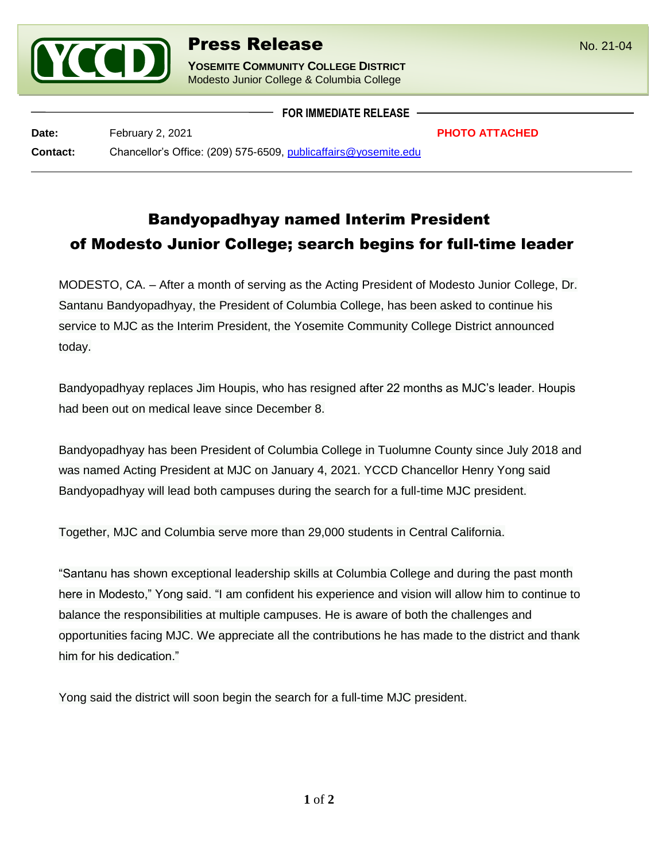

## **Press Release** No. 21-04

**YOSEMITE COMMUNITY COLLEGE DISTRICT** Modesto Junior College & Columbia College

**Date: PHOTO ATTACHED PHOTO ATTACHED Contact:** Chancellor's Office: (209) 575-6509, [publicaffairs@yosemite.edu](mailto:publicaffairs@yosemite.edu)

l

Bandyopadhyay named Interim President of Modesto Junior College; search begins for full-time leader

**FOR IMMEDIATE RELEASE**

MODESTO, CA. – After a month of serving as the Acting President of Modesto Junior College, Dr. Santanu Bandyopadhyay, the President of Columbia College, has been asked to continue his service to MJC as the Interim President, the Yosemite Community College District announced today.

Bandyopadhyay replaces Jim Houpis, who has resigned after 22 months as MJC's leader. Houpis had been out on medical leave since December 8.

Bandyopadhyay has been President of Columbia College in Tuolumne County since July 2018 and was named Acting President at MJC on January 4, 2021. YCCD Chancellor Henry Yong said Bandyopadhyay will lead both campuses during the search for a full-time MJC president.

Together, MJC and Columbia serve more than 29,000 students in Central California.

"Santanu has shown exceptional leadership skills at Columbia College and during the past month here in Modesto," Yong said. "I am confident his experience and vision will allow him to continue to balance the responsibilities at multiple campuses. He is aware of both the challenges and opportunities facing MJC. We appreciate all the contributions he has made to the district and thank him for his dedication."

Yong said the district will soon begin the search for a full-time MJC president.